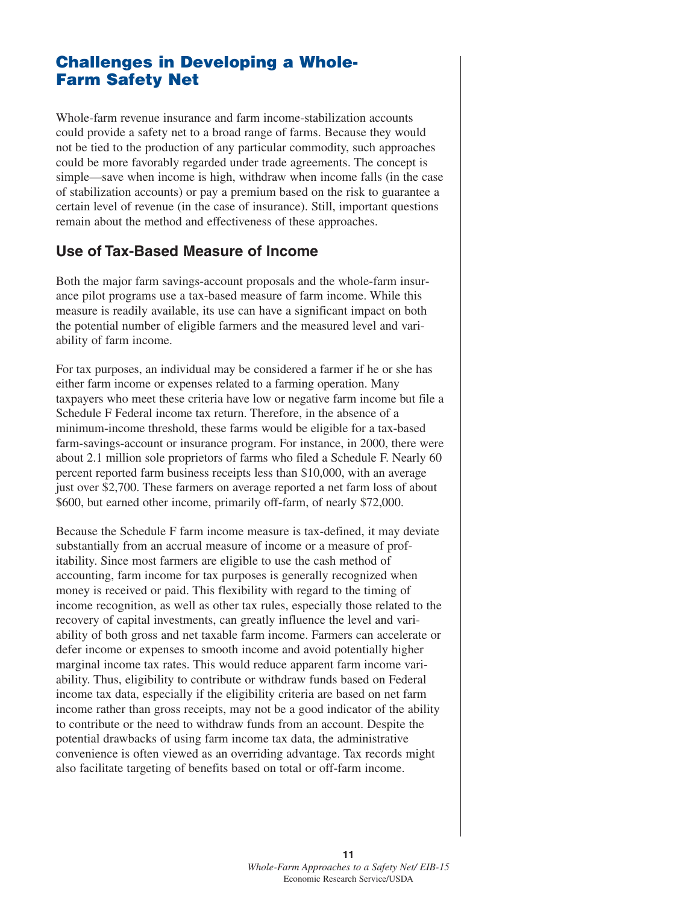# **Challenges in Developing a Whole-Farm Safety Net**

Whole-farm revenue insurance and farm income-stabilization accounts could provide a safety net to a broad range of farms. Because they would not be tied to the production of any particular commodity, such approaches could be more favorably regarded under trade agreements. The concept is simple—save when income is high, withdraw when income falls (in the case of stabilization accounts) or pay a premium based on the risk to guarantee a certain level of revenue (in the case of insurance). Still, important questions remain about the method and effectiveness of these approaches.

#### **Use of Tax-Based Measure of Income**

Both the major farm savings-account proposals and the whole-farm insurance pilot programs use a tax-based measure of farm income. While this measure is readily available, its use can have a significant impact on both the potential number of eligible farmers and the measured level and variability of farm income.

For tax purposes, an individual may be considered a farmer if he or she has either farm income or expenses related to a farming operation. Many taxpayers who meet these criteria have low or negative farm income but file a Schedule F Federal income tax return. Therefore, in the absence of a minimum-income threshold, these farms would be eligible for a tax-based farm-savings-account or insurance program. For instance, in 2000, there were about 2.1 million sole proprietors of farms who filed a Schedule F. Nearly 60 percent reported farm business receipts less than \$10,000, with an average just over \$2,700. These farmers on average reported a net farm loss of about \$600, but earned other income, primarily off-farm, of nearly \$72,000.

Because the Schedule F farm income measure is tax-defined, it may deviate substantially from an accrual measure of income or a measure of profitability. Since most farmers are eligible to use the cash method of accounting, farm income for tax purposes is generally recognized when money is received or paid. This flexibility with regard to the timing of income recognition, as well as other tax rules, especially those related to the recovery of capital investments, can greatly influence the level and variability of both gross and net taxable farm income. Farmers can accelerate or defer income or expenses to smooth income and avoid potentially higher marginal income tax rates. This would reduce apparent farm income variability. Thus, eligibility to contribute or withdraw funds based on Federal income tax data, especially if the eligibility criteria are based on net farm income rather than gross receipts, may not be a good indicator of the ability to contribute or the need to withdraw funds from an account. Despite the potential drawbacks of using farm income tax data, the administrative convenience is often viewed as an overriding advantage. Tax records might also facilitate targeting of benefits based on total or off-farm income.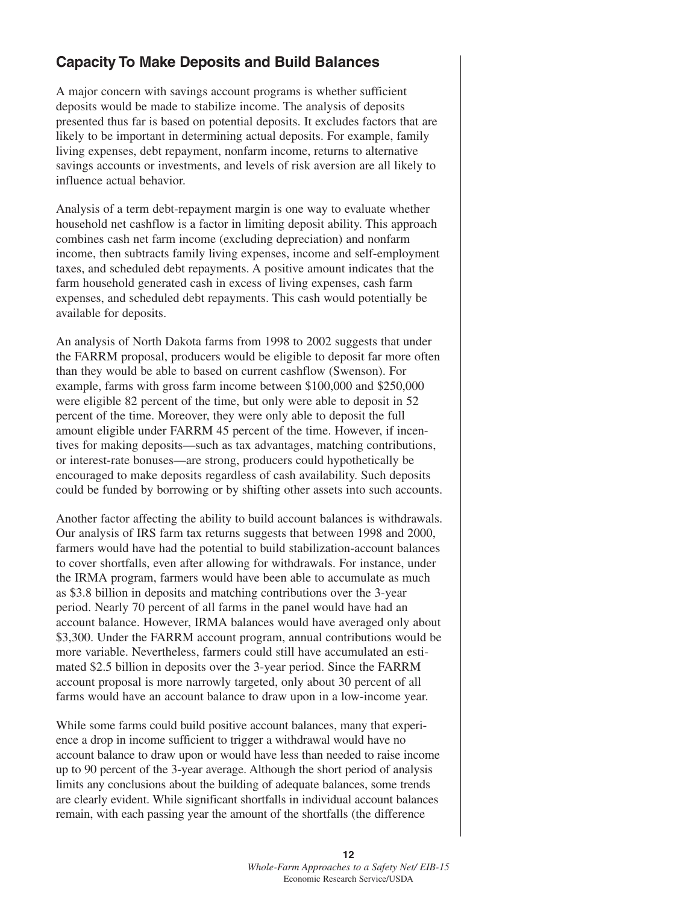## **Capacity To Make Deposits and Build Balances**

A major concern with savings account programs is whether sufficient deposits would be made to stabilize income. The analysis of deposits presented thus far is based on potential deposits. It excludes factors that are likely to be important in determining actual deposits. For example, family living expenses, debt repayment, nonfarm income, returns to alternative savings accounts or investments, and levels of risk aversion are all likely to influence actual behavior.

Analysis of a term debt-repayment margin is one way to evaluate whether household net cashflow is a factor in limiting deposit ability. This approach combines cash net farm income (excluding depreciation) and nonfarm income, then subtracts family living expenses, income and self-employment taxes, and scheduled debt repayments. A positive amount indicates that the farm household generated cash in excess of living expenses, cash farm expenses, and scheduled debt repayments. This cash would potentially be available for deposits.

An analysis of North Dakota farms from 1998 to 2002 suggests that under the FARRM proposal, producers would be eligible to deposit far more often than they would be able to based on current cashflow (Swenson). For example, farms with gross farm income between \$100,000 and \$250,000 were eligible 82 percent of the time, but only were able to deposit in 52 percent of the time. Moreover, they were only able to deposit the full amount eligible under FARRM 45 percent of the time. However, if incentives for making deposits—such as tax advantages, matching contributions, or interest-rate bonuses—are strong, producers could hypothetically be encouraged to make deposits regardless of cash availability. Such deposits could be funded by borrowing or by shifting other assets into such accounts.

Another factor affecting the ability to build account balances is withdrawals. Our analysis of IRS farm tax returns suggests that between 1998 and 2000, farmers would have had the potential to build stabilization-account balances to cover shortfalls, even after allowing for withdrawals. For instance, under the IRMA program, farmers would have been able to accumulate as much as \$3.8 billion in deposits and matching contributions over the 3-year period. Nearly 70 percent of all farms in the panel would have had an account balance. However, IRMA balances would have averaged only about \$3,300. Under the FARRM account program, annual contributions would be more variable. Nevertheless, farmers could still have accumulated an estimated \$2.5 billion in deposits over the 3-year period. Since the FARRM account proposal is more narrowly targeted, only about 30 percent of all farms would have an account balance to draw upon in a low-income year.

While some farms could build positive account balances, many that experience a drop in income sufficient to trigger a withdrawal would have no account balance to draw upon or would have less than needed to raise income up to 90 percent of the 3-year average. Although the short period of analysis limits any conclusions about the building of adequate balances, some trends are clearly evident. While significant shortfalls in individual account balances remain, with each passing year the amount of the shortfalls (the difference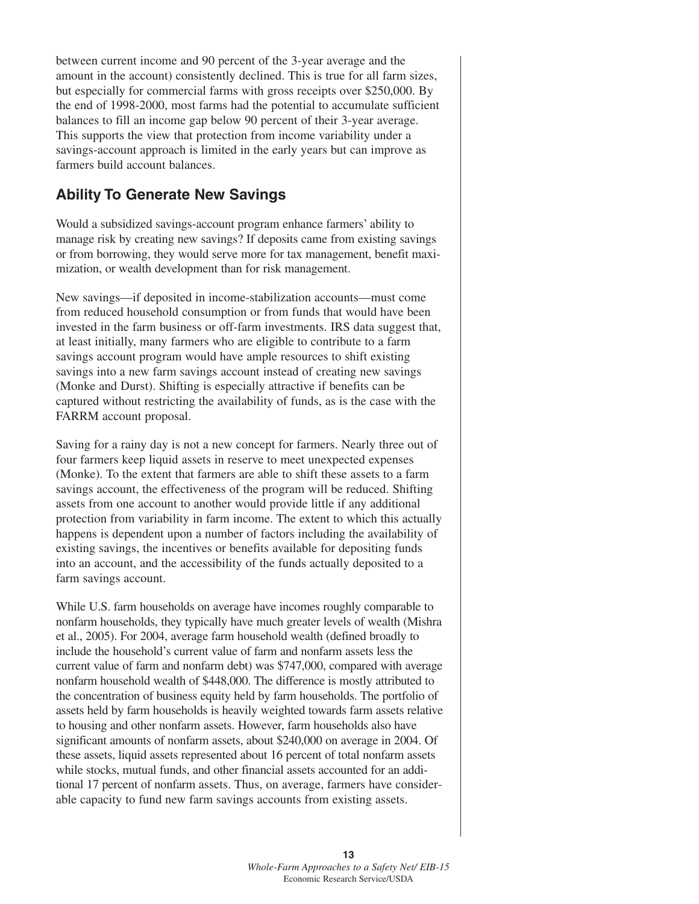between current income and 90 percent of the 3-year average and the amount in the account) consistently declined. This is true for all farm sizes, but especially for commercial farms with gross receipts over \$250,000. By the end of 1998-2000, most farms had the potential to accumulate sufficient balances to fill an income gap below 90 percent of their 3-year average. This supports the view that protection from income variability under a savings-account approach is limited in the early years but can improve as farmers build account balances.

### **Ability To Generate New Savings**

Would a subsidized savings-account program enhance farmers' ability to manage risk by creating new savings? If deposits came from existing savings or from borrowing, they would serve more for tax management, benefit maximization, or wealth development than for risk management.

New savings—if deposited in income-stabilization accounts—must come from reduced household consumption or from funds that would have been invested in the farm business or off-farm investments. IRS data suggest that, at least initially, many farmers who are eligible to contribute to a farm savings account program would have ample resources to shift existing savings into a new farm savings account instead of creating new savings (Monke and Durst). Shifting is especially attractive if benefits can be captured without restricting the availability of funds, as is the case with the FARRM account proposal.

Saving for a rainy day is not a new concept for farmers. Nearly three out of four farmers keep liquid assets in reserve to meet unexpected expenses (Monke). To the extent that farmers are able to shift these assets to a farm savings account, the effectiveness of the program will be reduced. Shifting assets from one account to another would provide little if any additional protection from variability in farm income. The extent to which this actually happens is dependent upon a number of factors including the availability of existing savings, the incentives or benefits available for depositing funds into an account, and the accessibility of the funds actually deposited to a farm savings account.

While U.S. farm households on average have incomes roughly comparable to nonfarm households, they typically have much greater levels of wealth (Mishra et al., 2005). For 2004, average farm household wealth (defined broadly to include the household's current value of farm and nonfarm assets less the current value of farm and nonfarm debt) was \$747,000, compared with average nonfarm household wealth of \$448,000. The difference is mostly attributed to the concentration of business equity held by farm households. The portfolio of assets held by farm households is heavily weighted towards farm assets relative to housing and other nonfarm assets. However, farm households also have significant amounts of nonfarm assets, about \$240,000 on average in 2004. Of these assets, liquid assets represented about 16 percent of total nonfarm assets while stocks, mutual funds, and other financial assets accounted for an additional 17 percent of nonfarm assets. Thus, on average, farmers have considerable capacity to fund new farm savings accounts from existing assets.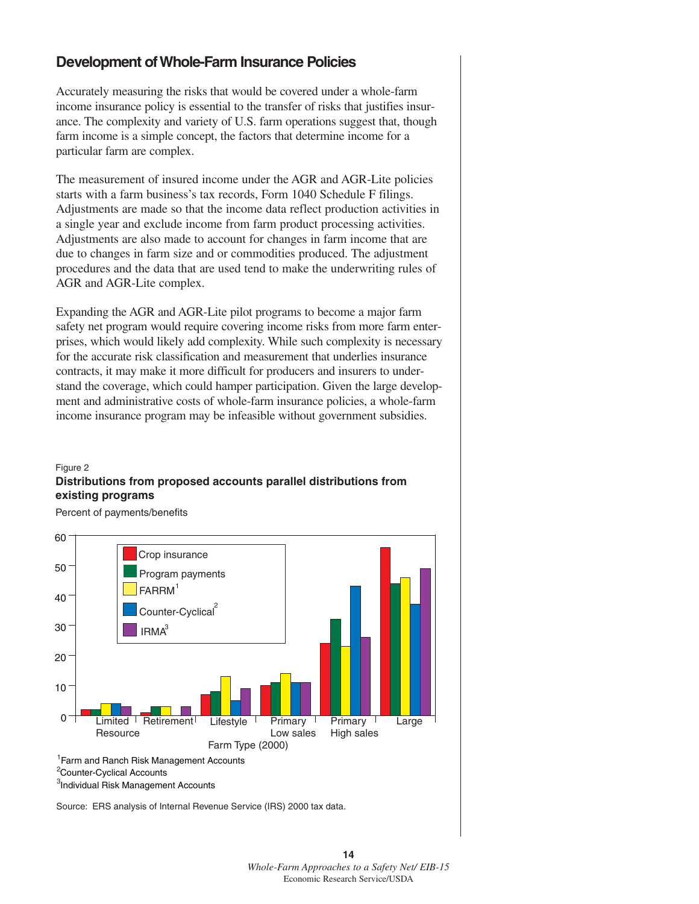## **Development of Whole-Farm Insurance Policies**

Accurately measuring the risks that would be covered under a whole-farm income insurance policy is essential to the transfer of risks that justifies insurance. The complexity and variety of U.S. farm operations suggest that, though farm income is a simple concept, the factors that determine income for a particular farm are complex.

The measurement of insured income under the AGR and AGR-Lite policies starts with a farm business's tax records, Form 1040 Schedule F filings. Adjustments are made so that the income data reflect production activities in a single year and exclude income from farm product processing activities. Adjustments are also made to account for changes in farm income that are due to changes in farm size and or commodities produced. The adjustment procedures and the data that are used tend to make the underwriting rules of AGR and AGR-Lite complex.

Expanding the AGR and AGR-Lite pilot programs to become a major farm safety net program would require covering income risks from more farm enterprises, which would likely add complexity. While such complexity is necessary for the accurate risk classification and measurement that underlies insurance contracts, it may make it more difficult for producers and insurers to understand the coverage, which could hamper participation. Given the large development and administrative costs of whole-farm insurance policies, a whole-farm income insurance program may be infeasible without government subsidies.

#### **Distributions from proposed accounts parallel distributions from existing programs** Figure 2

Percent of payments/benefits



Source: ERS analysis of Internal Revenue Service (IRS) 2000 tax data.